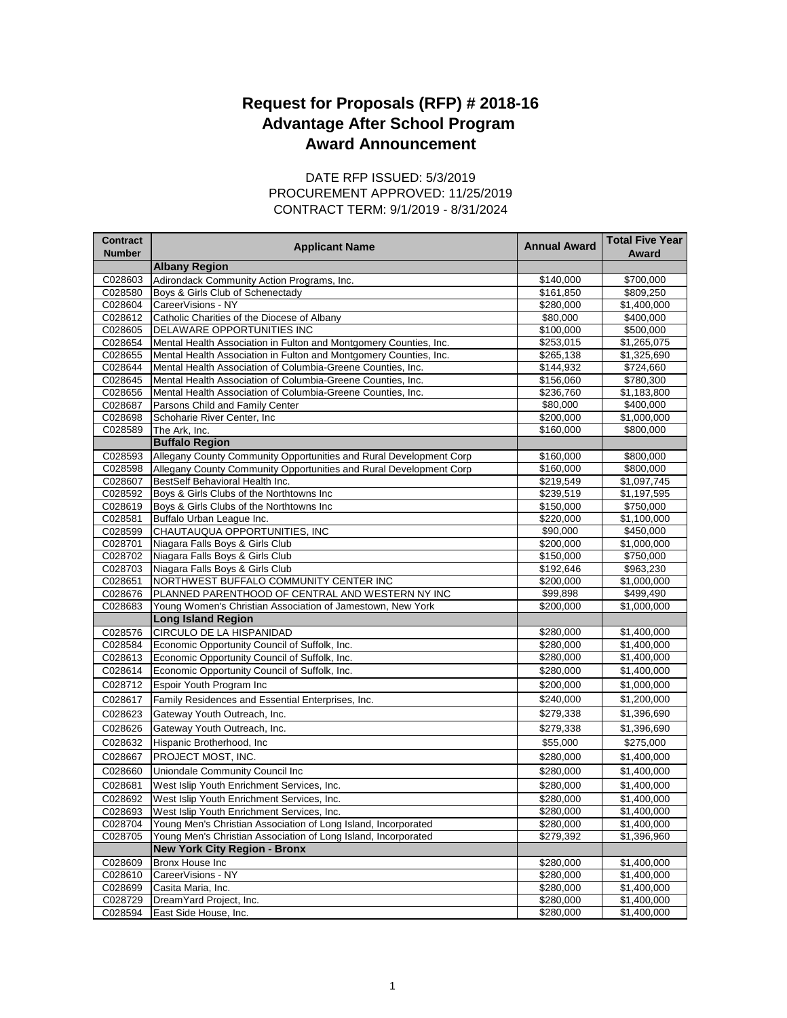## **Award Announcement Request for Proposals (RFP) # 2018-16 Advantage After School Program**

## CONTRACT TERM: 9/1/2019 - 8/31/2024 DATE RFP ISSUED: 5/3/2019 PROCUREMENT APPROVED: 11/25/2019

| <b>Contract</b><br><b>Number</b> | <b>Applicant Name</b>                                              | <b>Annual Award</b> | <b>Total Five Year</b><br>Award |
|----------------------------------|--------------------------------------------------------------------|---------------------|---------------------------------|
|                                  | <b>Albany Region</b>                                               |                     |                                 |
| C028603                          | Adirondack Community Action Programs, Inc.                         | \$140,000           | \$700,000                       |
| C028580                          | Boys & Girls Club of Schenectady                                   | \$161,850           | \$809,250                       |
| C028604                          | CareerVisions - NY                                                 | \$280,000           | \$1,400,000                     |
| C028612                          | Catholic Charities of the Diocese of Albany                        | \$80,000            | \$400,000                       |
| C028605                          | DELAWARE OPPORTUNITIES INC                                         | \$100,000           | \$500,000                       |
| C028654                          | Mental Health Association in Fulton and Montgomery Counties, Inc.  | \$253,015           | \$1,265,075                     |
| C028655                          | Mental Health Association in Fulton and Montgomery Counties, Inc.  | \$265,138           | \$1,325,690                     |
| C028644                          | Mental Health Association of Columbia-Greene Counties, Inc.        | \$144,932           | \$724,660                       |
| C028645                          | Mental Health Association of Columbia-Greene Counties, Inc.        | \$156,060           | \$780,300                       |
| C028656                          | Mental Health Association of Columbia-Greene Counties, Inc.        | \$236,760           | \$1,183,800                     |
| C028687                          | Parsons Child and Family Center                                    | \$80,000            | \$400,000                       |
| C028698                          | Schoharie River Center, Inc.                                       | \$200,000           | \$1,000,000                     |
| C028589                          | The Ark, Inc.                                                      | \$160,000           | \$800,000                       |
|                                  | <b>Buffalo Region</b>                                              |                     |                                 |
| C028593                          | Allegany County Community Opportunities and Rural Development Corp | \$160,000           | \$800,000                       |
| C028598                          | Allegany County Community Opportunities and Rural Development Corp | \$160,000           | \$800,000                       |
| C028607                          | BestSelf Behavioral Health Inc.                                    | \$219,549           | \$1,097,745                     |
| C028592                          | Boys & Girls Clubs of the Northtowns Inc                           | \$239,519           | \$1,197,595                     |
| C028619                          | Boys & Girls Clubs of the Northtowns Inc                           | \$150,000           | \$750,000                       |
| C028581                          | Buffalo Urban League Inc.                                          | \$220,000           | \$1,100,000                     |
| C028599                          | CHAUTAUQUA OPPORTUNITIES, INC                                      | \$90,000            | \$450,000                       |
| C028701                          | Niagara Falls Boys & Girls Club                                    | \$200,000           | \$1,000,000                     |
| C028702                          | Niagara Falls Boys & Girls Club                                    | \$150,000           | \$750,000                       |
| C028703                          | Niagara Falls Boys & Girls Club                                    | \$192,646           | \$963,230                       |
| C028651                          | NORTHWEST BUFFALO COMMUNITY CENTER INC                             | \$200,000           | \$1,000,000                     |
| C028676                          | PLANNED PARENTHOOD OF CENTRAL AND WESTERN NY INC                   | \$99,898            | \$499,490                       |
| C028683                          | Young Women's Christian Association of Jamestown, New York         | \$200,000           | \$1,000,000                     |
|                                  | <b>Long Island Region</b>                                          |                     |                                 |
| C028576                          | CIRCULO DE LA HISPANIDAD                                           | \$280,000           | \$1,400,000                     |
| C028584                          | Economic Opportunity Council of Suffolk, Inc.                      | \$280,000           | \$1,400,000                     |
| C028613                          | Economic Opportunity Council of Suffolk, Inc.                      | \$280,000           | \$1,400,000                     |
| C028614                          | Economic Opportunity Council of Suffolk, Inc.                      | \$280,000           | \$1,400,000                     |
| C028712                          | Espoir Youth Program Inc                                           | \$200,000           | \$1,000,000                     |
| C028617                          | Family Residences and Essential Enterprises, Inc.                  | \$240,000           | \$1,200,000                     |
| C028623                          | Gateway Youth Outreach, Inc.                                       | \$279,338           | \$1,396,690                     |
| C028626                          | Gateway Youth Outreach, Inc.                                       | \$279,338           | \$1,396,690                     |
| C028632                          | Hispanic Brotherhood, Inc.                                         | \$55,000            | \$275,000                       |
| C028667                          | PROJECT MOST, INC.                                                 | \$280,000           | \$1,400,000                     |
| C028660                          | Uniondale Community Council Inc                                    | \$280,000           | \$1,400,000                     |
| C028681                          | West Islip Youth Enrichment Services, Inc.                         | \$280,000           | \$1,400,000                     |
| C028692                          | West Islip Youth Enrichment Services, Inc.                         | \$280,000           | \$1,400,000                     |
| C028693                          | West Islip Youth Enrichment Services, Inc.                         | \$280,000           | \$1,400,000                     |
| C028704                          | Young Men's Christian Association of Long Island, Incorporated     | \$280,000           | \$1,400,000                     |
| C028705                          | Young Men's Christian Association of Long Island, Incorporated     | \$279,392           | \$1,396,960                     |
|                                  | <b>New York City Region - Bronx</b>                                |                     |                                 |
| C028609                          | Bronx House Inc                                                    | \$280,000           | \$1,400,000                     |
| C028610                          | CareerVisions - NY                                                 | \$280,000           | \$1,400,000                     |
| C028699                          | Casita Maria, Inc.                                                 | \$280,000           | \$1,400,000                     |
| C028729                          | DreamYard Project, Inc.                                            | \$280,000           | \$1,400,000                     |
| C028594                          | East Side House, Inc.                                              | \$280,000           | \$1,400,000                     |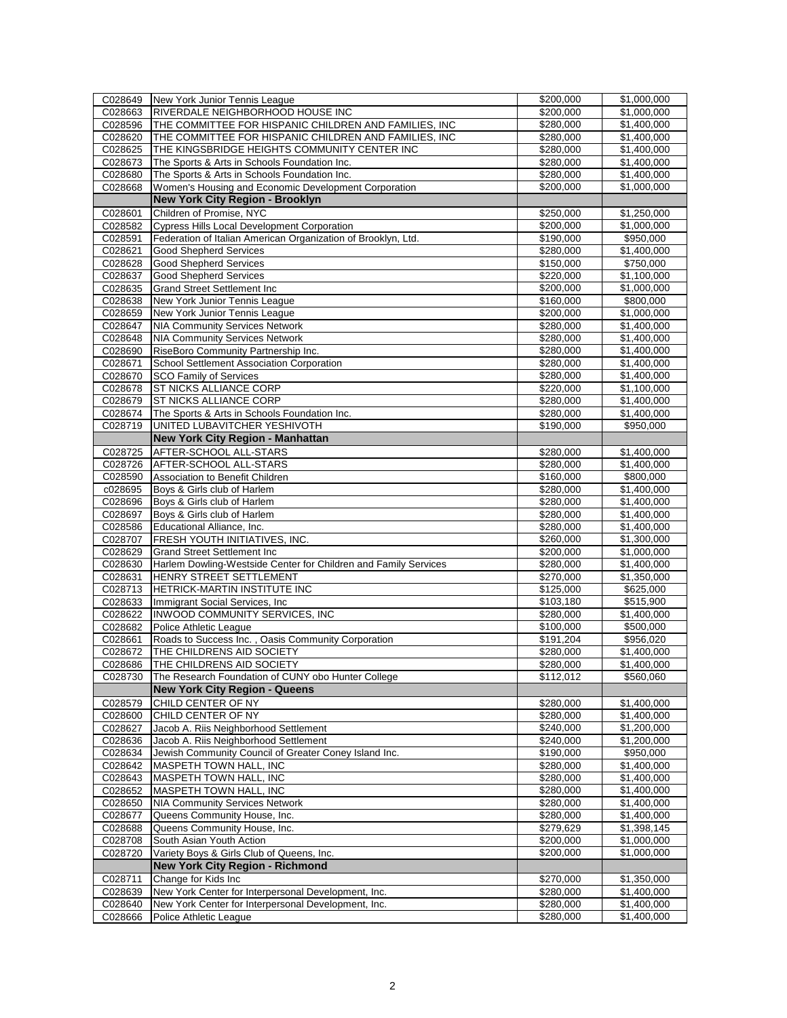| C028649            | New York Junior Tennis League                                                 | \$200,000              | \$1,000,000                |
|--------------------|-------------------------------------------------------------------------------|------------------------|----------------------------|
| C028663            | RIVERDALE NEIGHBORHOOD HOUSE INC                                              | \$200,000              | \$1,000,000                |
| C028596            | THE COMMITTEE FOR HISPANIC CHILDREN AND FAMILIES, INC                         | \$280,000              | \$1,400,000                |
| C028620            | THE COMMITTEE FOR HISPANIC CHILDREN AND FAMILIES, INC                         | \$280,000              | \$1,400,000                |
| C028625            | THE KINGSBRIDGE HEIGHTS COMMUNITY CENTER INC                                  | \$280,000              | \$1,400,000                |
| C028673            | The Sports & Arts in Schools Foundation Inc.                                  | \$280,000              | \$1,400,000                |
| C028680            | The Sports & Arts in Schools Foundation Inc.                                  | \$280,000              | \$1,400,000                |
| C028668            | Women's Housing and Economic Development Corporation                          | \$200,000              | \$1,000,000                |
|                    | <b>New York City Region - Brooklyn</b>                                        |                        |                            |
| C028601            | Children of Promise, NYC                                                      | \$250,000              | \$1,250,000                |
| C028582            | <b>Cypress Hills Local Development Corporation</b>                            | \$200,000              | \$1,000,000                |
| C028591            | Federation of Italian American Organization of Brooklyn, Ltd.                 | \$190,000              | \$950,000                  |
| C028621            | <b>Good Shepherd Services</b>                                                 | \$280,000              | \$1,400,000                |
| C028628            | <b>Good Shepherd Services</b>                                                 | \$150,000              | \$750,000                  |
| C028637            | <b>Good Shepherd Services</b>                                                 | \$220,000              | \$1,100,000                |
| C028635            | <b>Grand Street Settlement Inc.</b>                                           | \$200,000              | \$1,000,000                |
| C028638            | New York Junior Tennis League                                                 | \$160,000              | \$800,000                  |
| C028659            | New York Junior Tennis League                                                 | \$200,000              | \$1,000,000                |
| C028647            | <b>NIA Community Services Network</b>                                         | \$280,000              | $\overline{$1,400,000}$    |
| C028648            | <b>NIA Community Services Network</b>                                         | \$280,000              | \$1,400,000                |
| C028690            | RiseBoro Community Partnership Inc.                                           | \$280,000              | \$1,400,000                |
| C028671            | School Settlement Association Corporation                                     | \$280,000              | \$1,400,000                |
| C028670            | <b>SCO Family of Services</b>                                                 | \$280,000              | \$1,400,000                |
| C028678            | ST NICKS ALLIANCE CORP                                                        | \$220,000              | \$1,100,000                |
| C028679            | ST NICKS ALLIANCE CORP                                                        | \$280,000              | \$1,400,000                |
| C028674            | The Sports & Arts in Schools Foundation Inc.                                  | \$280,000              | \$1,400,000                |
| C028719            | UNITED LUBAVITCHER YESHIVOTH                                                  | \$190,000              | \$950,000                  |
|                    | <b>New York City Region - Manhattan</b>                                       |                        |                            |
| C028725            | AFTER-SCHOOL ALL-STARS                                                        | \$280,000              | \$1,400,000                |
| C028726            | AFTER-SCHOOL ALL-STARS                                                        | \$280,000              | \$1,400,000                |
| C028590            | Association to Benefit Children                                               | \$160,000              | \$800,000                  |
| c028695            | Boys & Girls club of Harlem                                                   | \$280,000              | \$1,400,000                |
| C028696            | Boys & Girls club of Harlem                                                   | \$280,000              | \$1,400,000                |
| C028697            | Boys & Girls club of Harlem                                                   | \$280,000              | \$1,400,000                |
| C028586            | Educational Alliance, Inc.                                                    | \$280,000              | \$1,400,000                |
| C028707            | FRESH YOUTH INITIATIVES, INC.                                                 | \$260,000              | \$1,300,000                |
| C028629            | <b>Grand Street Settlement Inc</b>                                            | \$200,000              | \$1,000,000                |
| C028630            | Harlem Dowling-Westside Center for Children and Family Services               | \$280,000              | \$1,400,000                |
| C028631            | HENRY STREET SETTLEMENT                                                       | \$270,000              | \$1,350,000                |
| C028713            | HETRICK-MARTIN INSTITUTE INC                                                  | \$125,000              | \$625,000                  |
| C028633            | Immigrant Social Services, Inc.                                               | \$103,180              | \$515,900                  |
| C028622            | INWOOD COMMUNITY SERVICES, INC                                                | \$280,000              | \$1,400,000                |
| C028682            | Police Athletic League                                                        | \$100,000              | \$500,000                  |
| C028661            | Roads to Success Inc., Oasis Community Corporation                            | \$191,204              | \$956,020                  |
| C028672            | THE CHILDRENS AID SOCIETY                                                     | \$280,000              | \$1,400,000                |
| C028686            | THE CHILDRENS AID SOCIETY                                                     | \$280,000              | \$1,400,000                |
| C028730            |                                                                               |                        |                            |
|                    | The Research Foundation of CUNY obo Hunter College                            | \$112,012              | \$560,060                  |
|                    | <b>New York City Region - Queens</b>                                          |                        |                            |
| C028579            | CHILD CENTER OF NY                                                            | \$280,000              | \$1,400,000                |
| C028600            | CHILD CENTER OF NY                                                            | \$280,000              | \$1,400,000                |
| C028627            | Jacob A. Riis Neighborhood Settlement                                         | \$240,000              | \$1,200,000                |
| C028636            | Jacob A. Riis Neighborhood Settlement                                         | \$240,000              | \$1,200,000                |
| C028634            | Jewish Community Council of Greater Coney Island Inc.                         | \$190,000              | \$950,000                  |
| C028642            | MASPETH TOWN HALL, INC                                                        | \$280,000              | \$1,400,000                |
| C028643            | MASPETH TOWN HALL, INC                                                        | \$280,000              | \$1,400,000                |
| C028652            | MASPETH TOWN HALL, INC                                                        | \$280,000              | \$1,400,000                |
| C028650            | <b>NIA Community Services Network</b>                                         | \$280,000              | \$1,400,000                |
| C028677            | Queens Community House, Inc.                                                  | \$280,000              | \$1,400,000                |
| C028688            | Queens Community House, Inc.                                                  | \$279,629              | \$1,398,145                |
| C028708            | South Asian Youth Action                                                      | \$200,000              | \$1,000,000                |
| C028720            | Variety Boys & Girls Club of Queens, Inc.                                     | \$200,000              | \$1,000,000                |
|                    | <b>New York City Region - Richmond</b>                                        |                        |                            |
| C028711            | Change for Kids Inc                                                           | \$270,000              | \$1,350,000                |
| C028639            | New York Center for Interpersonal Development, Inc.                           | \$280,000              | \$1,400,000                |
| C028640<br>C028666 | New York Center for Interpersonal Development, Inc.<br>Police Athletic League | \$280,000<br>\$280,000 | \$1,400,000<br>\$1,400,000 |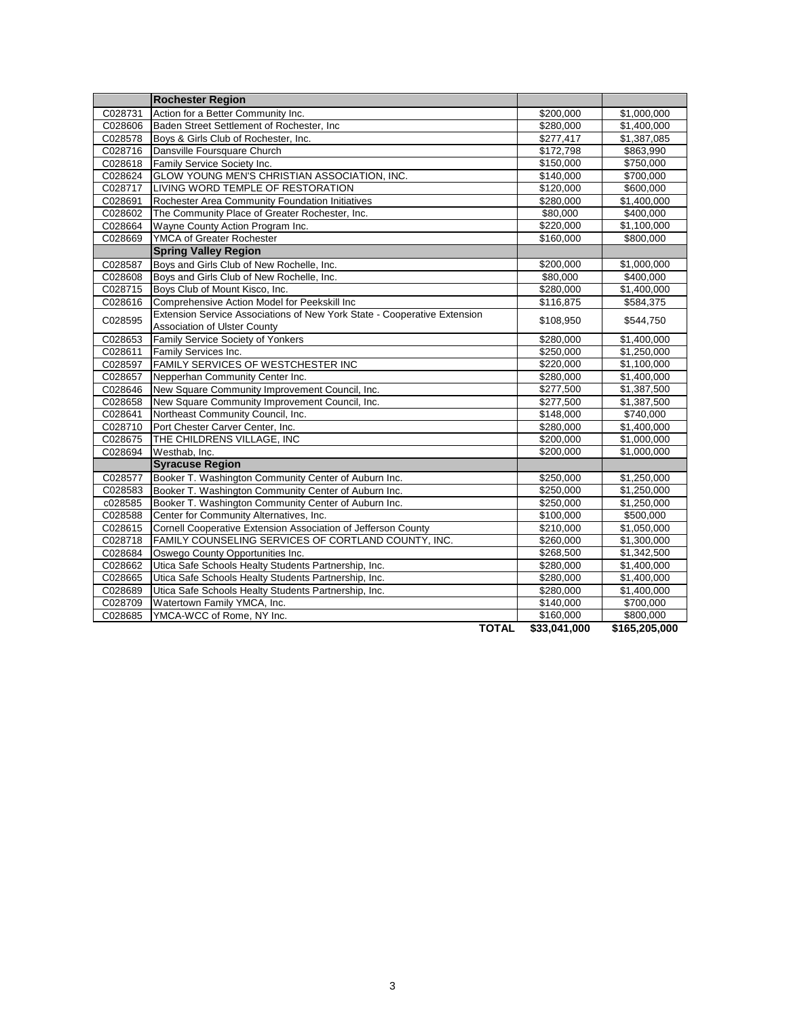|         | <b>Rochester Region</b>                                                  |              |                         |
|---------|--------------------------------------------------------------------------|--------------|-------------------------|
| C028731 | Action for a Better Community Inc.                                       | \$200,000    | \$1,000,000             |
| C028606 | Baden Street Settlement of Rochester, Inc.                               | \$280,000    | \$1,400,000             |
| C028578 | Boys & Girls Club of Rochester, Inc.                                     | \$277,417    | \$1,387,085             |
| C028716 | Dansville Foursquare Church                                              | \$172,798    | \$863,990               |
| C028618 | Family Service Society Inc.                                              | \$150,000    | \$750,000               |
| C028624 | GLOW YOUNG MEN'S CHRISTIAN ASSOCIATION, INC.                             | \$140,000    | \$700,000               |
| C028717 | LIVING WORD TEMPLE OF RESTORATION                                        | \$120,000    | \$600,000               |
| C028691 | Rochester Area Community Foundation Initiatives                          | \$280,000    | \$1,400,000             |
| C028602 | The Community Place of Greater Rochester, Inc.                           | \$80,000     | $\sqrt{$400,000}$       |
| C028664 | Wayne County Action Program Inc.                                         | \$220,000    | \$1,100,000             |
| C028669 | YMCA of Greater Rochester                                                | \$160,000    | \$800,000               |
|         | <b>Spring Valley Region</b>                                              |              |                         |
| C028587 | Boys and Girls Club of New Rochelle, Inc.                                | \$200,000    | \$1,000,000             |
| C028608 | Boys and Girls Club of New Rochelle, Inc.                                | \$80,000     | \$400,000               |
| C028715 | Boys Club of Mount Kisco, Inc.                                           | \$280,000    | \$1,400,000             |
| C028616 | Comprehensive Action Model for Peekskill Inc                             | \$116,875    | \$584,375               |
| C028595 | Extension Service Associations of New York State - Cooperative Extension | \$108,950    | \$544,750               |
|         | <b>Association of Ulster County</b>                                      |              |                         |
| C028653 | Family Service Society of Yonkers                                        | \$280,000    | \$1,400,000             |
| C028611 | Family Services Inc.                                                     | \$250,000    | \$1,250,000             |
| C028597 | FAMILY SERVICES OF WESTCHESTER INC                                       | \$220,000    | \$1,100,000             |
| C028657 | Nepperhan Community Center Inc.                                          | \$280,000    | \$1,400,000             |
| C028646 | New Square Community Improvement Council, Inc.                           | \$277,500    | \$1,387,500             |
| C028658 | New Square Community Improvement Council, Inc.                           | \$277,500    | \$1,387,500             |
| C028641 | Northeast Community Council, Inc.                                        | \$148,000    | \$740,000               |
| C028710 | Port Chester Carver Center, Inc.                                         | \$280,000    | \$1,400,000             |
| C028675 | THE CHILDRENS VILLAGE, INC                                               | \$200,000    | \$1,000,000             |
| C028694 | Westhab, Inc.                                                            | \$200,000    | \$1,000,000             |
|         | <b>Syracuse Region</b>                                                   |              |                         |
| C028577 | Booker T. Washington Community Center of Auburn Inc.                     | \$250,000    | \$1,250,000             |
| C028583 | Booker T. Washington Community Center of Auburn Inc.                     | \$250,000    | \$1,250,000             |
| c028585 | Booker T. Washington Community Center of Auburn Inc.                     | \$250,000    | \$1,250,000             |
| C028588 | Center for Community Alternatives, Inc.                                  | \$100,000    | \$500,000               |
| C028615 | Cornell Cooperative Extension Association of Jefferson County            | \$210,000    | $\overline{$}1,050,000$ |
| C028718 | FAMILY COUNSELING SERVICES OF CORTLAND COUNTY, INC.                      | \$260,000    | \$1,300,000             |
| C028684 | Oswego County Opportunities Inc.                                         | \$268,500    | \$1,342,500             |
| C028662 | Utica Safe Schools Healty Students Partnership, Inc.                     | \$280,000    | \$1,400,000             |
| C028665 | Utica Safe Schools Healty Students Partnership, Inc.                     | \$280,000    | \$1,400,000             |
| C028689 | Utica Safe Schools Healty Students Partnership, Inc.                     | \$280,000    | \$1,400,000             |
| C028709 | Watertown Family YMCA, Inc.                                              | \$140,000    | \$700,000               |
| C028685 | YMCA-WCC of Rome, NY Inc.                                                | \$160,000    | \$800,000               |
|         | <b>TOTAL</b>                                                             | \$33,041,000 | \$165,205,000           |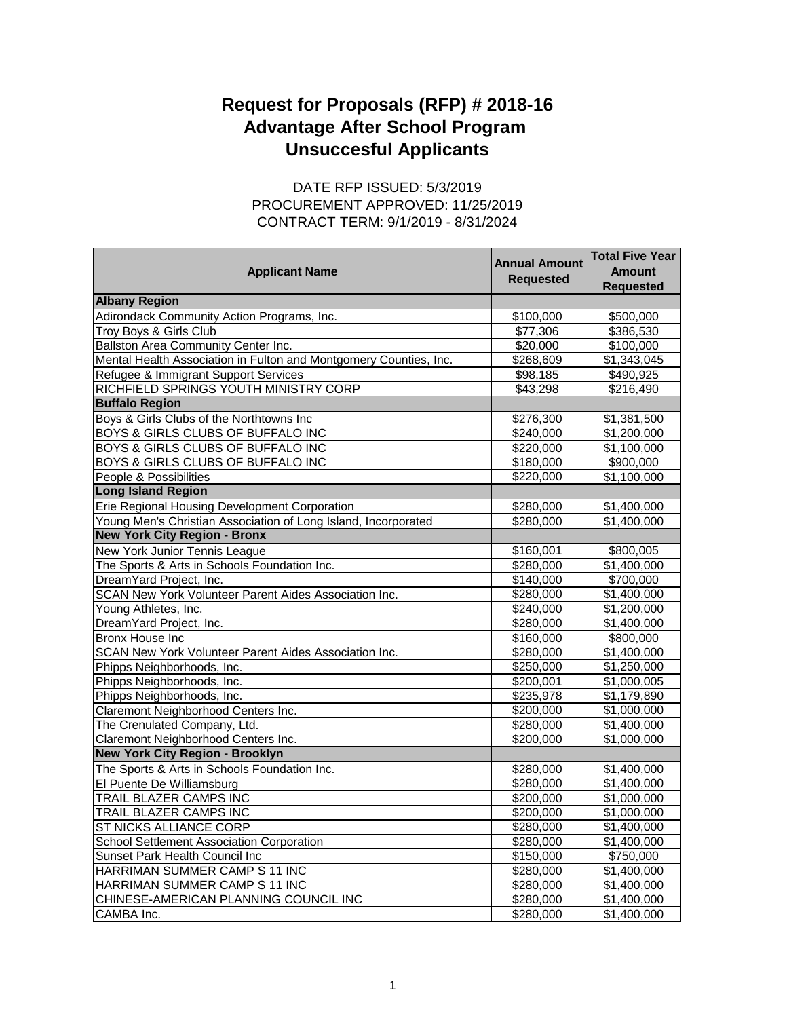## **Request for Proposals (RFP) # 2018-16 Advantage After School Program Unsuccesful Applicants**

## CONTRACT TERM: 9/1/2019 - 8/31/2024 DATE RFP ISSUED: 5/3/2019 PROCUREMENT APPROVED: 11/25/2019

| <b>Applicant Name</b>                                             | <b>Annual Amount</b> | <b>Total Five Year</b><br><b>Amount</b> |
|-------------------------------------------------------------------|----------------------|-----------------------------------------|
|                                                                   | <b>Requested</b>     | <b>Requested</b>                        |
| <b>Albany Region</b>                                              |                      |                                         |
| Adirondack Community Action Programs, Inc.                        | \$100,000            | \$500,000                               |
| Troy Boys & Girls Club                                            | \$77,306             | \$386,530                               |
| Ballston Area Community Center Inc.                               | \$20,000             | \$100,000                               |
| Mental Health Association in Fulton and Montgomery Counties, Inc. | \$268,609            | \$1,343,045                             |
| Refugee & Immigrant Support Services                              | \$98,185             | \$490,925                               |
| RICHFIELD SPRINGS YOUTH MINISTRY CORP                             | \$43,298             | \$216,490                               |
| <b>Buffalo Region</b>                                             |                      |                                         |
| Boys & Girls Clubs of the Northtowns Inc                          | \$276,300            | \$1,381,500                             |
| BOYS & GIRLS CLUBS OF BUFFALO INC                                 | \$240,000            | \$1,200,000                             |
| BOYS & GIRLS CLUBS OF BUFFALO INC                                 | \$220,000            | \$1,100,000                             |
| BOYS & GIRLS CLUBS OF BUFFALO INC                                 | \$180,000            | \$900,000                               |
| People & Possibilities                                            | \$220,000            | \$1,100,000                             |
| <b>Long Island Region</b>                                         |                      |                                         |
| Erie Regional Housing Development Corporation                     | \$280,000            | \$1,400,000                             |
| Young Men's Christian Association of Long Island, Incorporated    | \$280,000            | \$1,400,000                             |
| <b>New York City Region - Bronx</b>                               |                      |                                         |
| New York Junior Tennis League                                     | \$160,001            | \$800,005                               |
| The Sports & Arts in Schools Foundation Inc.                      | \$280,000            | \$1,400,000                             |
| DreamYard Project, Inc.                                           | \$140,000            | \$700,000                               |
| SCAN New York Volunteer Parent Aides Association Inc.             | \$280,000            | \$1,400,000                             |
| Young Athletes, Inc.                                              | \$240,000            | \$1,200,000                             |
| DreamYard Project, Inc.                                           | \$280,000            | \$1,400,000                             |
| Bronx House Inc.                                                  | \$160,000            | \$800,000                               |
| SCAN New York Volunteer Parent Aides Association Inc.             | \$280,000            | \$1,400,000                             |
| Phipps Neighborhoods, Inc.                                        | \$250,000            | \$1,250,000                             |
| Phipps Neighborhoods, Inc.                                        | \$200,001            | \$1,000,005                             |
| Phipps Neighborhoods, Inc.                                        | \$235,978            | \$1,179,890                             |
| Claremont Neighborhood Centers Inc.                               | \$200,000            | \$1,000,000                             |
| The Crenulated Company, Ltd.                                      | \$280,000            | \$1,400,000                             |
| Claremont Neighborhood Centers Inc.                               | \$200,000            | \$1,000,000                             |
| <b>New York City Region - Brooklyn</b>                            |                      |                                         |
| The Sports & Arts in Schools Foundation Inc.                      | \$280,000            | \$1,400,000                             |
| El Puente De Williamsburg                                         | \$280,000            | \$1,400,000                             |
| TRAIL BLAZER CAMPS INC                                            | \$200,000            | \$1,000,000                             |
| TRAIL BLAZER CAMPS INC                                            | \$200,000            | \$1,000,000                             |
| ST NICKS ALLIANCE CORP                                            | \$280,000            | \$1,400,000                             |
| School Settlement Association Corporation                         | \$280,000            | \$1,400,000                             |
| Sunset Park Health Council Inc                                    | \$150,000            | \$750,000                               |
| HARRIMAN SUMMER CAMP S 11 INC                                     | \$280,000            | \$1,400,000                             |
| HARRIMAN SUMMER CAMP S 11 INC                                     | \$280,000            | \$1,400,000                             |
| CHINESE-AMERICAN PLANNING COUNCIL INC                             | \$280,000            | \$1,400,000                             |
| CAMBA Inc.                                                        | \$280,000            | \$1,400,000                             |